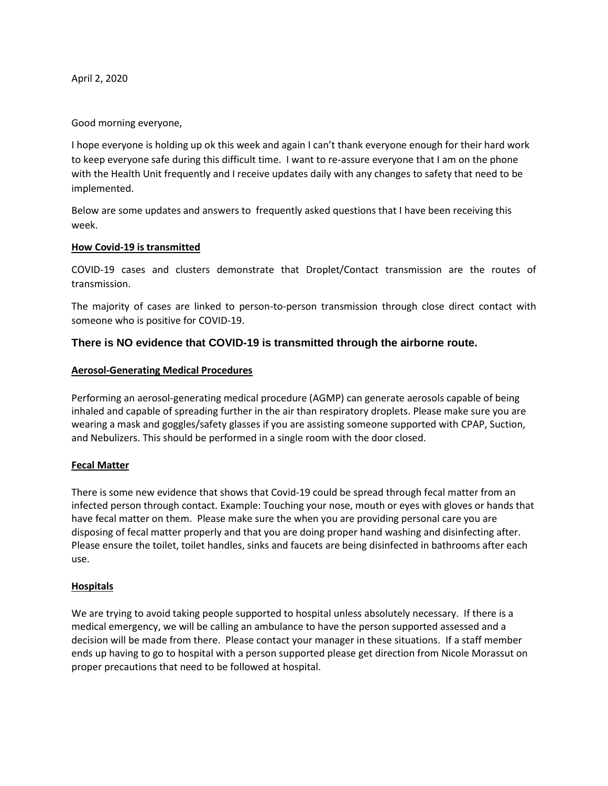April 2, 2020

Good morning everyone,

I hope everyone is holding up ok this week and again I can't thank everyone enough for their hard work to keep everyone safe during this difficult time. I want to re-assure everyone that I am on the phone with the Health Unit frequently and I receive updates daily with any changes to safety that need to be implemented.

Below are some updates and answers to frequently asked questions that I have been receiving this week.

#### **How Covid-19 is transmitted**

COVID-19 cases and clusters demonstrate that Droplet/Contact transmission are the routes of transmission.

The majority of cases are linked to person-to-person transmission through close direct contact with someone who is positive for COVID-19.

## **There is NO evidence that COVID-19 is transmitted through the airborne route.**

#### **Aerosol-Generating Medical Procedures**

Performing an aerosol-generating medical procedure (AGMP) can generate aerosols capable of being inhaled and capable of spreading further in the air than respiratory droplets. Please make sure you are wearing a mask and goggles/safety glasses if you are assisting someone supported with CPAP, Suction, and Nebulizers. This should be performed in a single room with the door closed.

#### **Fecal Matter**

There is some new evidence that shows that Covid-19 could be spread through fecal matter from an infected person through contact. Example: Touching your nose, mouth or eyes with gloves or hands that have fecal matter on them. Please make sure the when you are providing personal care you are disposing of fecal matter properly and that you are doing proper hand washing and disinfecting after. Please ensure the toilet, toilet handles, sinks and faucets are being disinfected in bathrooms after each use.

#### **Hospitals**

We are trying to avoid taking people supported to hospital unless absolutely necessary. If there is a medical emergency, we will be calling an ambulance to have the person supported assessed and a decision will be made from there. Please contact your manager in these situations. If a staff member ends up having to go to hospital with a person supported please get direction from Nicole Morassut on proper precautions that need to be followed at hospital.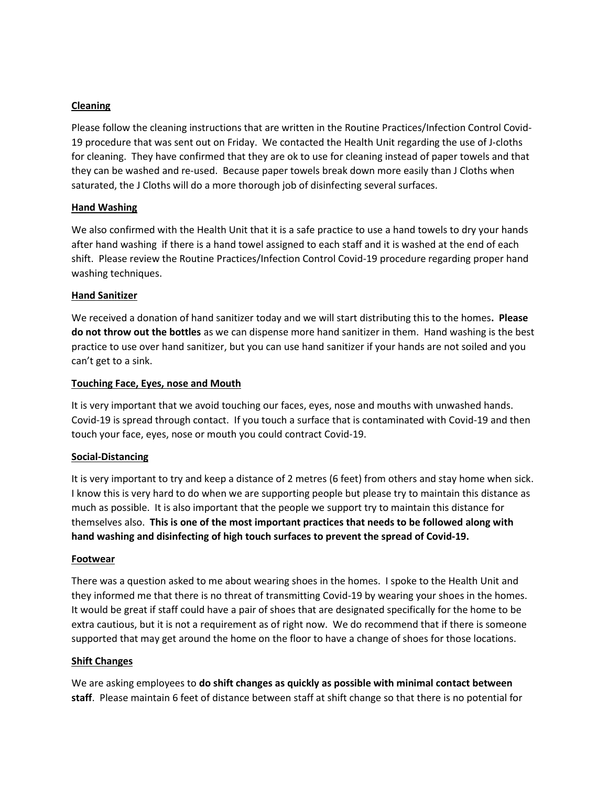### **Cleaning**

Please follow the cleaning instructions that are written in the Routine Practices/Infection Control Covid-19 procedure that was sent out on Friday. We contacted the Health Unit regarding the use of J-cloths for cleaning. They have confirmed that they are ok to use for cleaning instead of paper towels and that they can be washed and re-used. Because paper towels break down more easily than J Cloths when saturated, the J Cloths will do a more thorough job of disinfecting several surfaces.

#### **Hand Washing**

We also confirmed with the Health Unit that it is a safe practice to use a hand towels to dry your hands after hand washing if there is a hand towel assigned to each staff and it is washed at the end of each shift. Please review the Routine Practices/Infection Control Covid-19 procedure regarding proper hand washing techniques.

#### **Hand Sanitizer**

We received a donation of hand sanitizer today and we will start distributing this to the homes**. Please do not throw out the bottles** as we can dispense more hand sanitizer in them. Hand washing is the best practice to use over hand sanitizer, but you can use hand sanitizer if your hands are not soiled and you can't get to a sink.

## **Touching Face, Eyes, nose and Mouth**

It is very important that we avoid touching our faces, eyes, nose and mouths with unwashed hands. Covid-19 is spread through contact. If you touch a surface that is contaminated with Covid-19 and then touch your face, eyes, nose or mouth you could contract Covid-19.

#### **Social-Distancing**

It is very important to try and keep a distance of 2 metres (6 feet) from others and stay home when sick. I know this is very hard to do when we are supporting people but please try to maintain this distance as much as possible. It is also important that the people we support try to maintain this distance for themselves also. **This is one of the most important practices that needs to be followed along with hand washing and disinfecting of high touch surfaces to prevent the spread of Covid-19.**

#### **Footwear**

There was a question asked to me about wearing shoes in the homes. I spoke to the Health Unit and they informed me that there is no threat of transmitting Covid-19 by wearing your shoes in the homes. It would be great if staff could have a pair of shoes that are designated specifically for the home to be extra cautious, but it is not a requirement as of right now. We do recommend that if there is someone supported that may get around the home on the floor to have a change of shoes for those locations.

#### **Shift Changes**

We are asking employees to **do shift changes as quickly as possible with minimal contact between staff**. Please maintain 6 feet of distance between staff at shift change so that there is no potential for